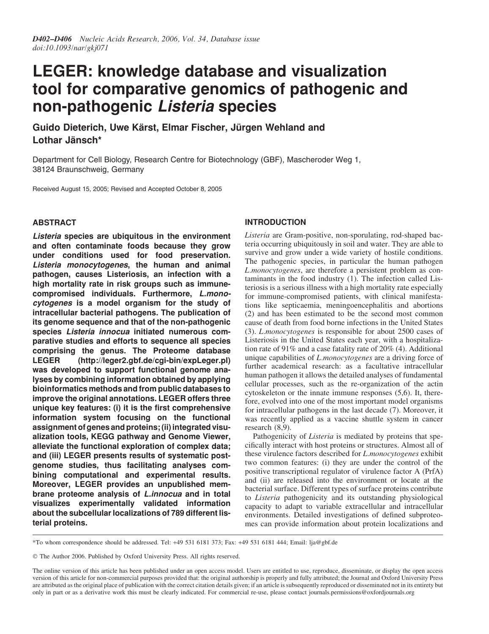# LEGER: knowledge database and visualization tool for comparative genomics of pathogenic and non-pathogenic Listeria species

Guido Dieterich, Uwe Kärst, Elmar Fischer, Jürgen Wehland and Lothar Jänsch\*

Department for Cell Biology, Research Centre for Biotechnology (GBF), Mascheroder Weg 1, 38124 Braunschweig, Germany

Received August 15, 2005; Revised and Accepted October 8, 2005

# ABSTRACT

Listeria species are ubiquitous in the environment and often contaminate foods because they grow under conditions used for food preservation. Listeria monocytogenes, the human and animal pathogen, causes Listeriosis, an infection with a high mortality rate in risk groups such as immunecompromised individuals. Furthermore, L.monocytogenes is a model organism for the study of intracellular bacterial pathogens. The publication of its genome sequence and that of the non-pathogenic species Listeria innocua initiated numerous comparative studies and efforts to sequence all species comprising the genus. The Proteome database LEGER [\(http://leger2.gbf.de/cgi-bin/expLeger.pl\)](http://leger2.gbf.de/cgi-bin/expLeger.pl) was developed to support functional genome analyses by combining information obtained by applying bioinformatics methods and from public databases to improve the original annotations. LEGER offers three unique key features: (i) it is the first comprehensive information system focusing on the functional assignment of genes and proteins; (ii) integrated visualization tools, KEGG pathway and Genome Viewer, alleviate the functional exploration of complex data; and (iii) LEGER presents results of systematic postgenome studies, thus facilitating analyses combining computational and experimental results. Moreover, LEGER provides an unpublished membrane proteome analysis of L.innocua and in total visualizes experimentally validated information about the subcellular localizations of 789 different listerial proteins.

# INTRODUCTION

Listeria are Gram-positive, non-sporulating, rod-shaped bacteria occurring ubiquitously in soil and water. They are able to survive and grow under a wide variety of hostile conditions. The pathogenic species, in particular the human pathogen L.monocytogenes, are therefore a persistent problem as contaminants in the food industry (1). The infection called Listeriosis is a serious illness with a high mortality rate especially for immune-compromised patients, with clinical manifestations like septicaemia, meningoencephalitis and abortions (2) and has been estimated to be the second most common cause of death from food borne infections in the United States (3). L.monocytogenes is responsible for about 2500 cases of Listeriosis in the United States each year, with a hospitalization rate of 91% and a case fatality rate of  $20\%$  (4). Additional unique capabilities of *L.monocytogenes* are a driving force of further academical research: as a facultative intracellular human pathogen it allows the detailed analyses of fundamental cellular processes, such as the re-organization of the actin cytoskeleton or the innate immune responses  $(5,6)$ . It, therefore, evolved into one of the most important model organisms for intracellular pathogens in the last decade (7). Moreover, it was recently applied as a vaccine shuttle system in cancer research (8,9).

Pathogenicity of *Listeria* is mediated by proteins that specifically interact with host proteins or structures. Almost all of these virulence factors described for L.monocytogenes exhibit two common features: (i) they are under the control of the positive transcriptional regulator of virulence factor A (PrfA) and (ii) are released into the environment or locate at the bacterial surface. Different types of surface proteins contribute to Listeria pathogenicity and its outstanding physiological capacity to adapt to variable extracellular and intracellular environments. Detailed investigations of defined subproteomes can provide information about protein localizations and <sup>75</sup>

\*To whom correspondence should be addressed. Tel: +49 531 6181 373; Fax: +49 531 6181 444; Email: lja@gbf.de

The Author 2006. Published by Oxford University Press. All rights reserved.

The online version of this article has been published under an open access model. Users are entitled to use, reproduce, disseminate, or display the open access version of this article for non-commercial purposes provided that: the original authorship is properly and fully attributed; the Journal and Oxford University Press are attributed as the original place of publication with the correct citation details given; if an article is subsequently reproduced or disseminated not in its entirety but only in part or as a derivative work this must be clearly indicated. For commercial re-use, please contact journals.permissions@oxfordjournals.org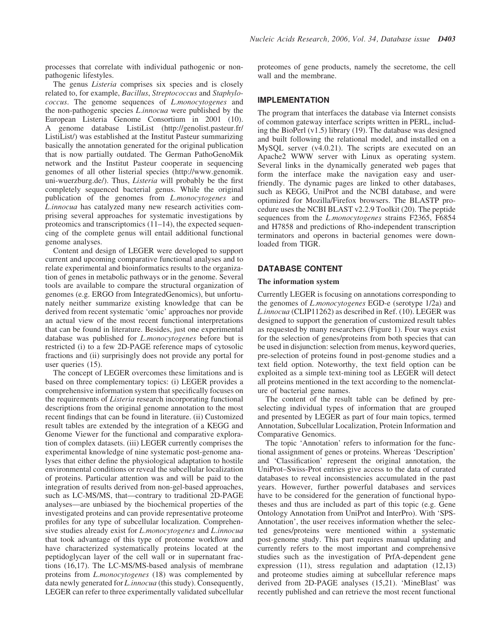processes that correlate with individual pathogenic or nonpathogenic lifestyles.

The genus *Listeria* comprises six species and is closely related to, for example, Bacillus, Streptococcus and Staphylo-<sup>5</sup> coccus. The genome sequences of L.monocytogenes and the non-pathogenic species L.innocua were published by the European Listeria Genome Consortium in 2001 (10). A genome database ListiList [\(http://genolist.pasteur.fr/](http://genolist.pasteur.fr/) ListiList/) was established at the Institut Pasteur summarizing 10 basically the annotation generated for the original publication that is now partially outdated. The German PathoGenoMik network and the Institut Pasteur cooperate in sequencing genomes of all other listerial species [\(http://www.genomik.](http://www.genomik) uni-wuerzburg.de/). Thus, Listeria will probably be the first completely sequenced bacterial genus. While the original publication of the genomes from L.monocytogenes and L.innocua has catalyzed many new research activities comprising several approaches for systematic investigations by proteomics and transcriptomics (11–14), the expected sequencing of the complete genus will entail additional functional genome analyses.

Content and design of LEGER were developed to support current and upcoming comparative functional analyses and to relate experimental and bioinformatics results to the organization of genes in metabolic pathways or in the genome. Several tools are available to compare the structural organization of genomes (e.g. ERGO from IntegratedGenomics), but unfortunately neither summarize existing knowledge that can be derived from recent systematic 'omic' approaches nor provide an actual view of the most recent functional interpretations that can be found in literature. Besides, just one experimental database was published for *L.monocytogenes* before but is restricted (i) to a few 2D-PAGE reference maps of cytosolic fractions and (ii) surprisingly does not provide any portal for user queries  $(15)$ .

The concept of LEGER overcomes these limitations and is based on three complementary topics: (i) LEGER provides a comprehensive information system that specifically focuses on the requirements of Listeria research incorporating functional descriptions from the original genome annotation to the most recent findings that can be found in literature. (ii) Customized result tables are extended by the integration of a KEGG and Genome Viewer for the functional and comparative exploration of complex datasets. (iii) LEGER currently comprises the experimental knowledge of nine systematic post-genome analyses that either define the physiological adaptation to hostile environmental conditions or reveal the subcellular localization of proteins. Particular attention was and will be paid to the integration of results derived from non-gel-based approaches, such as LC-MS/MS, that—contrary to traditional 2D-PAGE analyses—are unbiased by the biochemical properties of the investigated proteins and can provide representative proteome profiles for any type of subcellular localization. Comprehensive studies already exist for L.monocytogenes and L.innocua that took advantage of this type of proteome workflow and have characterized systematically proteins located at the peptidoglycan layer of the cell wall or in supernatant fractions (16,17). The LC-MS/MS-based analysis of membrane proteins from *L.monocytogenes* (18) was complemented by data newly generated for *L.innocua* (this study). Consequently, LEGER can refer to three experimentally validated subcellular proteomes of gene products, namely the secretome, the cell wall and the membrane.

## IMPLEMENTATION

The program that interfaces the database via Internet consists of common gateway interface scripts written in PERL, including the BioPerl (v1.5) library (19). The database was designed and built following the relational model, and installed on a MySQL server (v4.0.21). The scripts are executed on an Apache2 WWW server with Linux as operating system. Several links in the dynamically generated web pages that form the interface make the navigation easy and userfriendly. The dynamic pages are linked to other databases, such as KEGG, UniProt and the NCBI database, and were optimized for Mozilla/Firefox browsers. The BLASTP procedure uses the NCBI BLAST v2.2.9 Toolkit (20). The peptide sequences from the *L.monocytogenes* strains F2365, F6854 and H7858 and predictions of Rho-independent transcription terminators and operons in bacterial genomes were downloaded from TIGR.

## DATABASE CONTENT

#### The information system

Currently LEGER is focusing on annotations corresponding to the genomes of L.monocytogenes EGD-e (serotype 1/2a) and *L.innocua* (CLIP11262) as described in Ref.  $(10)$ . LEGER was designed to support the generation of customized result tables as requested by many researchers (Figure 1). Four ways exist for the selection of genes/proteins from both species that can be used in disjunction: selection from menus, keyword queries, pre-selection of proteins found in post-genome studies and a text field option. Noteworthy, the text field option can be exploited as a simple text-mining tool as LEGER will detect all proteins mentioned in the text according to the nomenclature of bacterial gene names.

The content of the result table can be defined by preselecting individual types of information that are grouped and presented by LEGER as part of four main topics, termed Annotation, Subcellular Localization, Protein Information and Comparative Genomics.

The topic 'Annotation' refers to information for the functional assignment of genes or proteins. Whereas 'Description' and 'Classification' represent the original annotation, the UniProt–Swiss-Prot entries give access to the data of curated databases to reveal inconsistencies accumulated in the past years. However, further powerful databases and services have to be considered for the generation of functional hypotheses and thus are included as part of this topic (e.g. Gene Ontology Annotation from UniProt and InterPro). With 'SPS-Annotation', the user receives information whether the selected genes/proteins were mentioned within a systematic post-genome study. This part requires manual updating and currently refers to the most important and comprehensive studies such as the investigation of PrfA-dependent gene expression (11), stress regulation and adaptation (12,13) and proteome studies aiming at subcellular reference maps derived from 2D-PAGE analyses (15,21). 'MineBlast' was recently published and can retrieve the most recent functional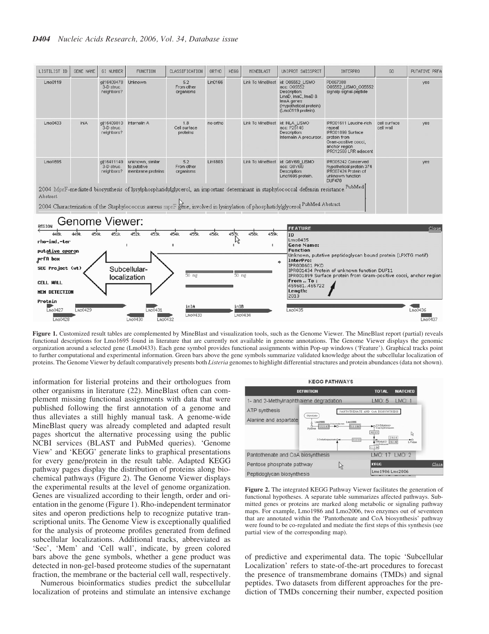

Figure 1. Customized result tables are complemented by MineBlast and visualization tools, such as the Genome Viewer. The MineBlast report (partial) reveals functional descriptions for Lmo1695 found in literature that are currently not available in genome annotations. The Genome Viewer displays the genomic organization around a selected gene (Lmo0433). Each gene symbol provides functional assignments within Pop-up windows ('Feature'). Graphical tracks point to further computational and experimental information. Green bars above the gene symbols summarize validated knowledge about the subcellular localization of proteins. The Genome Viewer by default comparatively presents both Listeria genomes to highlight differential structures and protein abundances (data not shown).

information for listerial proteins and their orthologues from other organisms in literature (22). MineBlast often can complement missing functional assignments with data that were published following the first annotation of a genome and <sup>5</sup> thus alleviates a still highly manual task. A genome-wide MineBlast query was already completed and adapted result pages shortcut the alternative processing using the public NCBI services (BLAST and PubMed queries). 'Genome View' and 'KEGG' generate links to graphical presentations for every gene/protein in the result table. Adapted KEGG pathway pages display the distribution of proteins along biochemical pathways (Figure 2). The Genome Viewer displays the experimental results at the level of genome organization. Genes are visualized according to their length, order and orientation in the genome (Figure 1). Rho-independent terminator sites and operon predictions help to recognize putative transcriptional units. The Genome View is exceptionally qualified for the analysis of proteome profiles generated from defined subcellular localizations. Additional tracks, abbreviated as 'Sec', 'Mem' and 'Cell wall', indicate, by green colored bars above the gene symbols, whether a gene product was detected in non-gel-based proteome studies of the supernatant fraction, the membrane or the bacterial cell wall, respectively.

 $Lm<sub>00430</sub>$ 

 $Lmo0432$ 

 $Lmo0428$ 

Numerous bioinformatics studies predict the subcellular localization of proteins and stimulate an intensive exchange



 $Lmo0437$ 

Figure 2. The integrated KEGG Pathway Viewer facilitates the generation of functional hypotheses. A separate table summarizes affected pathways. Submitted genes or proteins are marked along metabolic or signaling pathway maps. For example, Lmo1986 and Lmo2006, two enzymes out of seventeen that are annotated within the 'Pantothenate and CoA biosynthesis' pathway were found to be co-regulated and mediate the first steps of this synthesis (see partial view of the corresponding map).

of predictive and experimental data. The topic 'Subcellular Localization' refers to state-of-the-art procedures to forecast the presence of transmembrane domains (TMDs) and signal peptides. Two datasets from different approaches for the prediction of TMDs concerning their number, expected position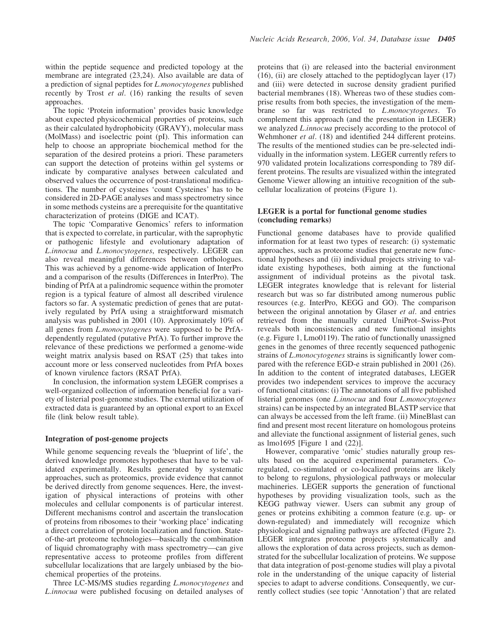within the peptide sequence and predicted topology at the membrane are integrated (23,24). Also available are data of a prediction of signal peptides for L.monocytogenes published recently by Trost *et al.* (16) ranking the results of seven approaches.

The topic 'Protein information' provides basic knowledge about expected physicochemical properties of proteins, such as their calculated hydrophobicity (GRAVY), molecular mass (MolMass) and isoelectric point (pI). This information can help to choose an appropriate biochemical method for the separation of the desired proteins a priori. These parameters can support the detection of proteins within gel systems or indicate by comparative analyses between calculated and observed values the occurrence of post-translational modifications. The number of cysteines 'count Cysteines' has to be considered in 2D-PAGE analyses and mass spectrometry since in some methods cysteins are a prerequisite for the quantitative characterization of proteins (DIGE and ICAT).

The topic 'Comparative Genomics' refers to information that is expected to correlate, in particular, with the saprophytic or pathogenic lifestyle and evolutionary adaptation of L.innocua and L.monocytogenes, respectively. LEGER can also reveal meaningful differences between orthologues. This was achieved by a genome-wide application of InterPro and a comparison of the results (Differences in InterPro). The binding of PrfA at a palindromic sequence within the promoter region is a typical feature of almost all described virulence factors so far. A systematic prediction of genes that are putatively regulated by PrfA using a straightforward mismatch analysis was published in 2001 (10). Approximately  $10\%$  of all genes from L.monocytogenes were supposed to be PrfAdependently regulated (putative PrfA). To further improve the relevance of these predictions we performed a genome-wide weight matrix analysis based on RSAT (25) that takes into account more or less conserved nucleotides from PrfA boxes of known virulence factors (RSAT PrfA).

In conclusion, the information system LEGER comprises a well-organized collection of information beneficial for a variety of listerial post-genome studies. The external utilization of extracted data is guaranteed by an optional export to an Excel file (link below result table).

#### Integration of post-genome projects

While genome sequencing reveals the 'blueprint of life', the derived knowledge promotes hypotheses that have to be validated experimentally. Results generated by systematic approaches, such as proteomics, provide evidence that cannot be derived directly from genome sequences. Here, the investigation of physical interactions of proteins with other molecules and cellular components is of particular interest. <sup>50</sup> Different mechanisms control and ascertain the translocation of proteins from ribosomes to their 'working place' indicating a direct correlation of protein localization and function. Stateof-the-art proteome technologies—basically the combination of liquid chromatography with mass spectrometry—can give <sup>55</sup> representative access to proteome profiles from different subcellular localizations that are largely unbiased by the biochemical properties of the proteins.

Three LC-MS/MS studies regarding L.monocytogenes and L.innocua were published focusing on detailed analyses of proteins that (i) are released into the bacterial environment (16), (ii) are closely attached to the peptidoglycan layer (17) and (iii) were detected in sucrose density gradient purified bacterial membranes (18). Whereas two of these studies comprise results from both species, the investigation of the membrane so far was restricted to *L.monocytogenes*. To complement this approach (and the presentation in LEGER) we analyzed L.innocua precisely according to the protocol of Wehmhoner *et al.* (18) and identified 244 different proteins. The results of the mentioned studies can be pre-selected individually in the information system. LEGER currently refers to 70 970 validated protein localizations corresponding to 789 different proteins. The results are visualized within the integrated Genome Viewer allowing an intuitive recognition of the subcellular localization of proteins (Figure 1).

## LEGER is a portal for functional genome studies (concluding remarks)

Functional genome databases have to provide qualified information for at least two types of research: (i) systematic approaches, such as proteome studies that generate new functional hypotheses and (ii) individual projects striving to validate existing hypotheses, both aiming at the functional assignment of individual proteins as the pivotal task. LEGER integrates knowledge that is relevant for listerial research but was so far distributed among numerous public resources (e.g. InterPro, KEGG and GO). The comparison between the original annotation by Glaser *et al*. and entries retrieved from the manually curated UniProt–Swiss-Prot reveals both inconsistencies and new functional insights (e.g. Figure 1, Lmo0119). The ratio of functionally unassigned genes in the genomes of three recently sequenced pathogenic strains of L.monocytogenes strains is significantly lower compared with the reference EGD-e strain published in 2001 (26). In addition to the content of integrated databases, LEGER provides two independent services to improve the accuracy of functional citations: (i) The annotations of all five published listerial genomes (one L.innocua and four L.monocytogenes strains) can be inspected by an integrated BLASTP service that can always be accessed from the left frame. (ii) MineBlast can find and present most recent literature on homologous proteins and alleviate the functional assignment of listerial genes, such as lmo1695 [Figure 1 and (22)].

However, comparative 'omic' studies naturally group results based on the acquired experimental parameters. Coregulated, co-stimulated or co-localized proteins are likely to belong to regulons, physiological pathways or molecular machineries. LEGER supports the generation of functional hypotheses by providing visualization tools, such as the KEGG pathway viewer. Users can submit any group of genes or proteins exhibiting a common feature (e.g. up- or down-regulated) and immediately will recognize which physiological and signaling pathways are affected (Figure 2). LEGER integrates proteome projects systematically and allows the exploration of data across projects, such as demonstrated for the subcellular localization of proteins. We suppose that data integration of post-genome studies will play a pivotal role in the understanding of the unique capacity of listerial species to adapt to adverse conditions. Consequently, we currently collect studies (see topic 'Annotation') that are related